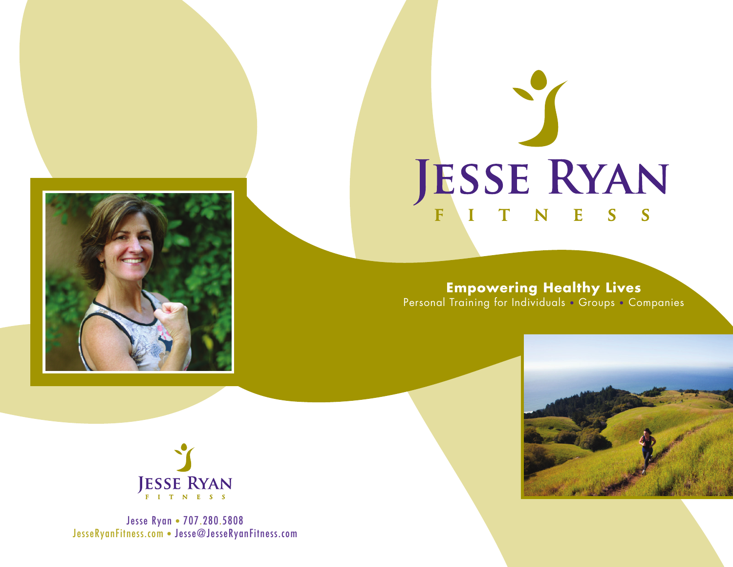

# JESSE RYAN

**Empowering Healthy Lives** Personal Training for Individuals • Groups • Companies





Jesse Ryan • 707.280.5808 JesseRyanFitness.com • Jesse@JesseRyanFitness.com